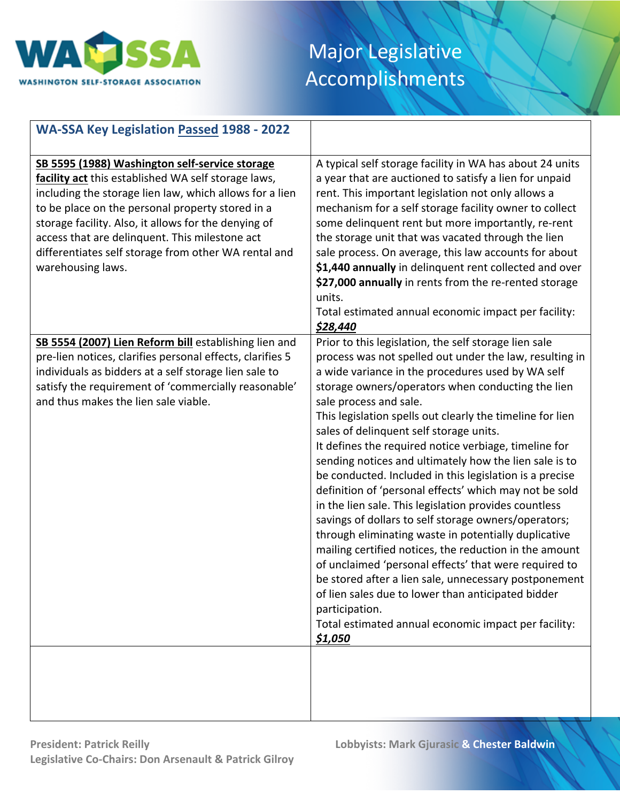

| <b>WA-SSA Key Legislation Passed 1988 - 2022</b>                                                                                                                                                                                                                                                                                                                                                            |                                                                                                                                                                                                                                                                                                                                                                                                                                                                                                                                                                                                                                                                                                                                                                                                                                                                                                                                                                                                                                                                                                      |
|-------------------------------------------------------------------------------------------------------------------------------------------------------------------------------------------------------------------------------------------------------------------------------------------------------------------------------------------------------------------------------------------------------------|------------------------------------------------------------------------------------------------------------------------------------------------------------------------------------------------------------------------------------------------------------------------------------------------------------------------------------------------------------------------------------------------------------------------------------------------------------------------------------------------------------------------------------------------------------------------------------------------------------------------------------------------------------------------------------------------------------------------------------------------------------------------------------------------------------------------------------------------------------------------------------------------------------------------------------------------------------------------------------------------------------------------------------------------------------------------------------------------------|
| SB 5595 (1988) Washington self-service storage<br>facility act this established WA self storage laws,<br>including the storage lien law, which allows for a lien<br>to be place on the personal property stored in a<br>storage facility. Also, it allows for the denying of<br>access that are delinquent. This milestone act<br>differentiates self storage from other WA rental and<br>warehousing laws. | A typical self storage facility in WA has about 24 units<br>a year that are auctioned to satisfy a lien for unpaid<br>rent. This important legislation not only allows a<br>mechanism for a self storage facility owner to collect<br>some delinquent rent but more importantly, re-rent<br>the storage unit that was vacated through the lien<br>sale process. On average, this law accounts for about<br>\$1,440 annually in delinquent rent collected and over<br>\$27,000 annually in rents from the re-rented storage<br>units.<br>Total estimated annual economic impact per facility:<br>\$28,440                                                                                                                                                                                                                                                                                                                                                                                                                                                                                             |
| SB 5554 (2007) Lien Reform bill establishing lien and<br>pre-lien notices, clarifies personal effects, clarifies 5<br>individuals as bidders at a self storage lien sale to<br>satisfy the requirement of 'commercially reasonable'<br>and thus makes the lien sale viable.                                                                                                                                 | Prior to this legislation, the self storage lien sale<br>process was not spelled out under the law, resulting in<br>a wide variance in the procedures used by WA self<br>storage owners/operators when conducting the lien<br>sale process and sale.<br>This legislation spells out clearly the timeline for lien<br>sales of delinquent self storage units.<br>It defines the required notice verbiage, timeline for<br>sending notices and ultimately how the lien sale is to<br>be conducted. Included in this legislation is a precise<br>definition of 'personal effects' which may not be sold<br>in the lien sale. This legislation provides countless<br>savings of dollars to self storage owners/operators;<br>through eliminating waste in potentially duplicative<br>mailing certified notices, the reduction in the amount<br>of unclaimed 'personal effects' that were required to<br>be stored after a lien sale, unnecessary postponement<br>of lien sales due to lower than anticipated bidder<br>participation.<br>Total estimated annual economic impact per facility:<br>\$1,050 |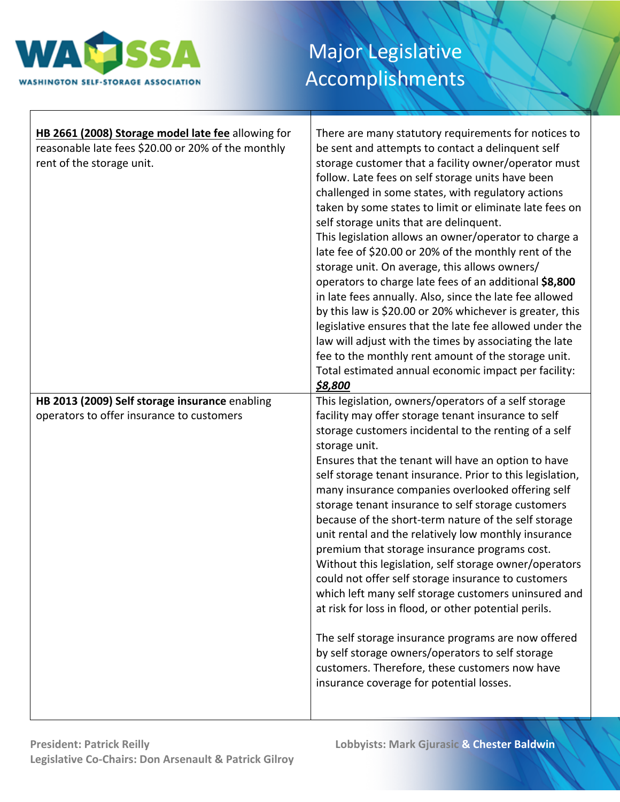

| HB 2661 (2008) Storage model late fee allowing for<br>reasonable late fees \$20.00 or 20% of the monthly<br>rent of the storage unit. | There are many statutory requirements for notices to<br>be sent and attempts to contact a delinquent self<br>storage customer that a facility owner/operator must<br>follow. Late fees on self storage units have been<br>challenged in some states, with regulatory actions<br>taken by some states to limit or eliminate late fees on<br>self storage units that are delinquent.<br>This legislation allows an owner/operator to charge a<br>late fee of \$20.00 or 20% of the monthly rent of the<br>storage unit. On average, this allows owners/<br>operators to charge late fees of an additional \$8,800<br>in late fees annually. Also, since the late fee allowed<br>by this law is \$20.00 or 20% whichever is greater, this<br>legislative ensures that the late fee allowed under the<br>law will adjust with the times by associating the late<br>fee to the monthly rent amount of the storage unit.<br>Total estimated annual economic impact per facility:<br>\$8,800                                            |
|---------------------------------------------------------------------------------------------------------------------------------------|----------------------------------------------------------------------------------------------------------------------------------------------------------------------------------------------------------------------------------------------------------------------------------------------------------------------------------------------------------------------------------------------------------------------------------------------------------------------------------------------------------------------------------------------------------------------------------------------------------------------------------------------------------------------------------------------------------------------------------------------------------------------------------------------------------------------------------------------------------------------------------------------------------------------------------------------------------------------------------------------------------------------------------|
|                                                                                                                                       |                                                                                                                                                                                                                                                                                                                                                                                                                                                                                                                                                                                                                                                                                                                                                                                                                                                                                                                                                                                                                                  |
| HB 2013 (2009) Self storage insurance enabling<br>operators to offer insurance to customers                                           | This legislation, owners/operators of a self storage<br>facility may offer storage tenant insurance to self<br>storage customers incidental to the renting of a self<br>storage unit.<br>Ensures that the tenant will have an option to have<br>self storage tenant insurance. Prior to this legislation,<br>many insurance companies overlooked offering self<br>storage tenant insurance to self storage customers<br>because of the short-term nature of the self storage<br>unit rental and the relatively low monthly insurance<br>premium that storage insurance programs cost.<br>Without this legislation, self storage owner/operators<br>could not offer self storage insurance to customers<br>which left many self storage customers uninsured and<br>at risk for loss in flood, or other potential perils.<br>The self storage insurance programs are now offered<br>by self storage owners/operators to self storage<br>customers. Therefore, these customers now have<br>insurance coverage for potential losses. |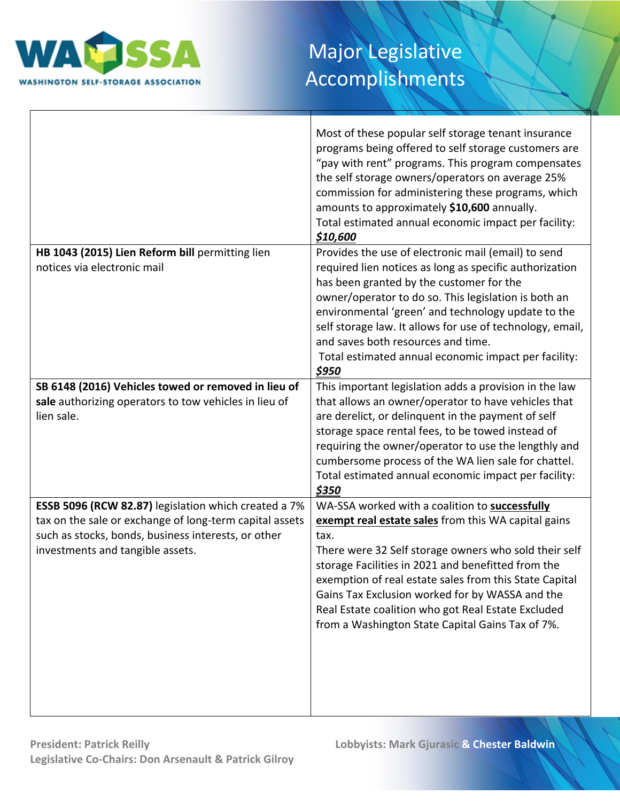

|                                                         | Most of these popular self storage tenant insurance<br>programs being offered to self storage customers are<br>"pay with rent" programs. This program compensates<br>the self storage owners/operators on average 25%<br>commission for administering these programs, which<br>amounts to approximately \$10,600 annually.<br>Total estimated annual economic impact per facility:<br>\$10,600 |
|---------------------------------------------------------|------------------------------------------------------------------------------------------------------------------------------------------------------------------------------------------------------------------------------------------------------------------------------------------------------------------------------------------------------------------------------------------------|
| HB 1043 (2015) Lien Reform bill permitting lien         | Provides the use of electronic mail (email) to send                                                                                                                                                                                                                                                                                                                                            |
| notices via electronic mail                             | required lien notices as long as specific authorization<br>has been granted by the customer for the                                                                                                                                                                                                                                                                                            |
|                                                         | owner/operator to do so. This legislation is both an                                                                                                                                                                                                                                                                                                                                           |
|                                                         | environmental 'green' and technology update to the                                                                                                                                                                                                                                                                                                                                             |
|                                                         | self storage law. It allows for use of technology, email,                                                                                                                                                                                                                                                                                                                                      |
|                                                         | and saves both resources and time.                                                                                                                                                                                                                                                                                                                                                             |
|                                                         | Total estimated annual economic impact per facility:                                                                                                                                                                                                                                                                                                                                           |
|                                                         | \$950                                                                                                                                                                                                                                                                                                                                                                                          |
| SB 6148 (2016) Vehicles towed or removed in lieu of     | This important legislation adds a provision in the law                                                                                                                                                                                                                                                                                                                                         |
| sale authorizing operators to tow vehicles in lieu of   | that allows an owner/operator to have vehicles that                                                                                                                                                                                                                                                                                                                                            |
| lien sale.                                              | are derelict, or delinquent in the payment of self                                                                                                                                                                                                                                                                                                                                             |
|                                                         | storage space rental fees, to be towed instead of                                                                                                                                                                                                                                                                                                                                              |
|                                                         | requiring the owner/operator to use the lengthly and                                                                                                                                                                                                                                                                                                                                           |
|                                                         | cumbersome process of the WA lien sale for chattel.                                                                                                                                                                                                                                                                                                                                            |
|                                                         | Total estimated annual economic impact per facility:<br>\$350                                                                                                                                                                                                                                                                                                                                  |
| ESSB 5096 (RCW 82.87) legislation which created a 7%    | WA-SSA worked with a coalition to successfully                                                                                                                                                                                                                                                                                                                                                 |
| tax on the sale or exchange of long-term capital assets | exempt real estate sales from this WA capital gains                                                                                                                                                                                                                                                                                                                                            |
| such as stocks, bonds, business interests, or other     | tax.                                                                                                                                                                                                                                                                                                                                                                                           |
| investments and tangible assets.                        | There were 32 Self storage owners who sold their self                                                                                                                                                                                                                                                                                                                                          |
|                                                         | storage Facilities in 2021 and benefitted from the                                                                                                                                                                                                                                                                                                                                             |
|                                                         | exemption of real estate sales from this State Capital                                                                                                                                                                                                                                                                                                                                         |
|                                                         | Gains Tax Exclusion worked for by WASSA and the                                                                                                                                                                                                                                                                                                                                                |
|                                                         | Real Estate coalition who got Real Estate Excluded                                                                                                                                                                                                                                                                                                                                             |
|                                                         | from a Washington State Capital Gains Tax of 7%.                                                                                                                                                                                                                                                                                                                                               |
|                                                         |                                                                                                                                                                                                                                                                                                                                                                                                |
|                                                         |                                                                                                                                                                                                                                                                                                                                                                                                |
|                                                         |                                                                                                                                                                                                                                                                                                                                                                                                |
|                                                         |                                                                                                                                                                                                                                                                                                                                                                                                |
|                                                         |                                                                                                                                                                                                                                                                                                                                                                                                |